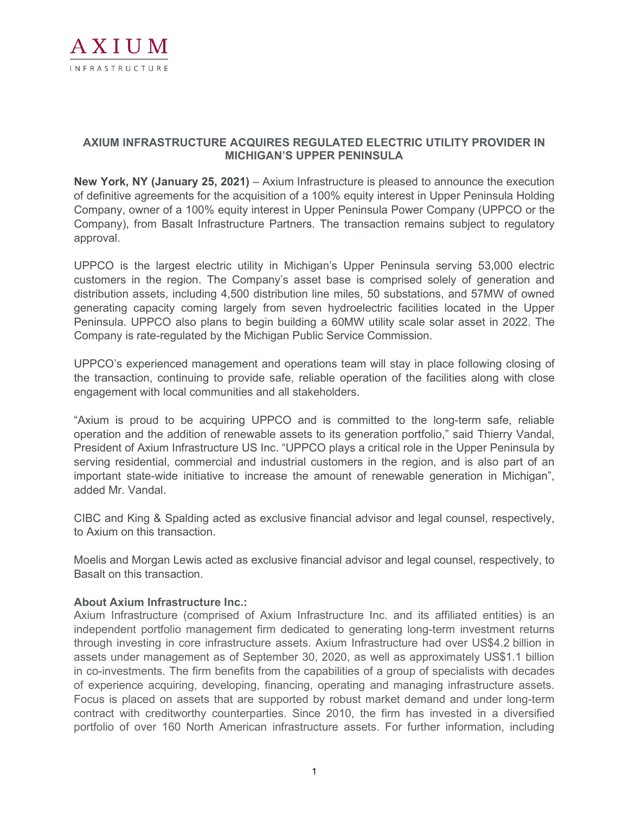

## **AXIUM INFRASTRUCTURE ACQUIRES REGULATED ELECTRIC UTILITY PROVIDER IN MICHIGAN'S UPPER PENINSULA**

**New York, NY (January 25, 2021)** – Axium Infrastructure is pleased to announce the execution of definitive agreements for the acquisition of a 100% equity interest in Upper Peninsula Holding Company, owner of a 100% equity interest in Upper Peninsula Power Company (UPPCO or the Company), from Basalt Infrastructure Partners. The transaction remains subject to regulatory approval.

UPPCO is the largest electric utility in Michigan's Upper Peninsula serving 53,000 electric customers in the region. The Company's asset base is comprised solely of generation and distribution assets, including 4,500 distribution line miles, 50 substations, and 57MW of owned generating capacity coming largely from seven hydroelectric facilities located in the Upper Peninsula. UPPCO also plans to begin building a 60MW utility scale solar asset in 2022. The Company is rate-regulated by the Michigan Public Service Commission.

UPPCO's experienced management and operations team will stay in place following closing of the transaction, continuing to provide safe, reliable operation of the facilities along with close engagement with local communities and all stakeholders.

"Axium is proud to be acquiring UPPCO and is committed to the long-term safe, reliable operation and the addition of renewable assets to its generation portfolio," said Thierry Vandal, President of Axium Infrastructure US Inc. "UPPCO plays a critical role in the Upper Peninsula by serving residential, commercial and industrial customers in the region, and is also part of an important state-wide initiative to increase the amount of renewable generation in Michigan", added Mr. Vandal.

CIBC and King & Spalding acted as exclusive financial advisor and legal counsel, respectively, to Axium on this transaction.

Moelis and Morgan Lewis acted as exclusive financial advisor and legal counsel, respectively, to Basalt on this transaction.

## **About Axium Infrastructure Inc.:**

Axium Infrastructure (comprised of Axium Infrastructure Inc. and its affiliated entities) is an independent portfolio management firm dedicated to generating long-term investment returns through investing in core infrastructure assets. Axium Infrastructure had over US\$4.2 billion in assets under management as of September 30, 2020, as well as approximately US\$1.1 billion in co-investments. The firm benefits from the capabilities of a group of specialists with decades of experience acquiring, developing, financing, operating and managing infrastructure assets. Focus is placed on assets that are supported by robust market demand and under long-term contract with creditworthy counterparties. Since 2010, the firm has invested in a diversified portfolio of over 160 North American infrastructure assets. For further information, including